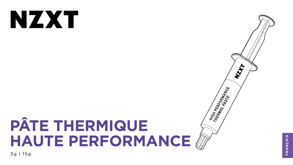# NZXT

# PÂTE THERMIQUE HAUTE PERFORMANCE ( 3g | 15g



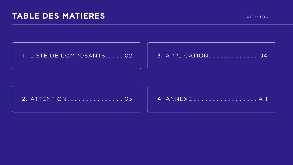## TABLE DES MATIERES

## 1. LISTE DE COMPOSANTS ............ 02

## 

03





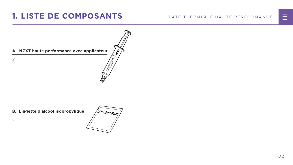02

#### PÂTE THERMIQUE HAUTE PERFORMANCE





# <span id="page-2-0"></span>**1. LISTE DE COMPOSANTS**

#### **B. Lingette d'alcool isopropylique**



x1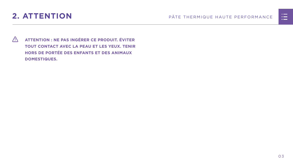# <span id="page-3-0"></span>2. ATTENTION

 $\bigwedge$ ATTENTION : NE PAS INGÉRER CE PRODUIT. ÉVITER TOUT CONTACT AVEC LA PEAU ET LES YEUX. TENIR HORS DE PORTÉE DES ENFANTS ET DES ANIMAUX **DOMESTIQUES.** 

#### PÂTE THERMIQUE HAUTE PERFORMANCE



03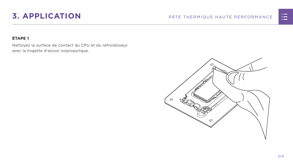0 4

# <span id="page-4-0"></span>**3. APPLICATION** PÂTE THERMIQUE HAUTE PERFORMANCE

## **ÉTAPE 1**

Nettoyez la surface de contact du CPU et du refroidisseur avec la lingette d'alcool isopropylique.



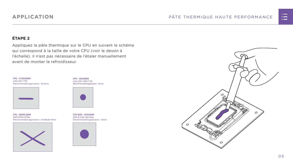0 5





### **ÉTAPE 2**

Appliquez la pâte thermique sur le CPU en suivant le schéma qui correspond à la taille de votre CPU (voir le dessin à l'échelle). Il n'est pas nécessaire de l'étaler manuellement avant de monter le refroidisseur.

## **APPLICATION**

**CPU - 35X35MM** Intel LGA 1200/115x Recommended application : 10mm



**CPU SIZE - 40X40MM** AM4 & Intel LGA 20xx Recommended application : 15mm



**CPU - 68X50.5MM** AMD STR4/sTRX4 Recommended application : 43.68x26.18mm



**CPU - 37.5X45MM** Intel LGA 1700 Recommended application : 25.8mm

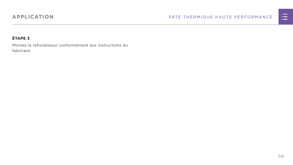## **APPLICATION**

### **ÉTAPE 3**

Montez le refroidisseur conformément aux instructions du fabricant.

#### PÂTE THERMIQUE HAUTE PERFORMANCE



06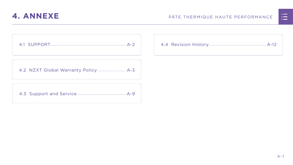

<span id="page-7-0"></span>

[4.2 NZXT Global Warranty Policy................................](#page-9-0) A-3

[4.3 Support and Service.......................................................A-9](#page-15-0)

## **4. ANNEXE** PÂTE THERMIQUE HAUTE PERFORMANCE



|  | <u>n in de la</u>                                                                                                     |  |
|--|-----------------------------------------------------------------------------------------------------------------------|--|
|  | <u>ra masa</u>                                                                                                        |  |
|  | <u>a shekara ta 1989, a shekara ta 1989, a shekara ta 1989, a shekara ta 1989, a shekara ta 1989, a shekara ta 19</u> |  |
|  |                                                                                                                       |  |
|  |                                                                                                                       |  |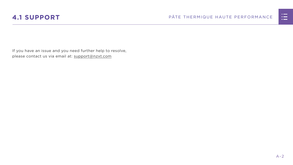

If you have an issue and you need further help to resolve, please contact us via email at: support@nzxt.com

## <span id="page-8-0"></span>**4.1 SUPPORT** PÂTE THERMIQUE HAUTE PERFORMANCE

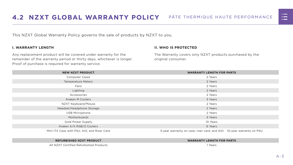



<span id="page-9-0"></span>This NZXT Global Warranty Policy governs the sale of products by NZXT to you.

#### **I. WARRANTY LENGTH**

Any replacement product will be covered under warranty for the remainder of the warranty period or thirty days, whichever is longer. Proof of purchase is required for warranty service.

#### **II. WHO IS PROTECTED**

The Warranty covers only NZXT products purchased by the original consumer.

| <b>NEW NZXT PRODUCT</b>                     | <b>WARRANTY LENGTH FOR PARTS</b>                                       |  |  |
|---------------------------------------------|------------------------------------------------------------------------|--|--|
| <b>Computer Cases</b>                       | 2 Years                                                                |  |  |
| <b>Temperature Meters</b>                   | 2 Years                                                                |  |  |
| Fans                                        | 2 Years                                                                |  |  |
| Lighting                                    | 2 Years                                                                |  |  |
| Accessories                                 | 2 Years                                                                |  |  |
| <b>Kraken M Coolers</b>                     | 3 Years                                                                |  |  |
| NZXT Keyboard/Mouse                         | 2 Years                                                                |  |  |
| Headset/Headphone Storage                   | 2 Years                                                                |  |  |
| <b>USB Microphone</b>                       | 2 Years                                                                |  |  |
| Motherboards                                | 3 Years                                                                |  |  |
| <b>Gold Power Supply</b>                    | 10 Years                                                               |  |  |
| Kraken X/X RGB/Z Coolers                    | 6 Years                                                                |  |  |
| Mini ITX Case with PSU, AIO, and Riser Card | 3-year warranty on case, riser card, and AIO. 10-year warranty on PSU. |  |  |

#### **REFURBISHED NZXT PRODUCT WARRANTY LENGTH FOR PARTS**





All NZXT Certified Refurbished Products 1 Years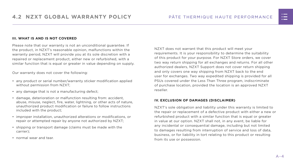#### **III. WHAT IS AND IS NOT COVERED**

Please note that our warranty is not an unconditional guarantee. If the product, in NZXT's reasonable opinion, malfunctions within the warranty period, NZXT will provide you at its sole discretion with a repaired or replacement product, either new or refurbished, with a similar function that is equal or greater in value depending on supply.

Our warranty does not cover the following:

- any product or serial number/warranty sticker modification applied without permission from NZXT;
- any damage that is not a manufacturing defect;
- damage, deterioration or malfunction resulting from: accident, abuse, misuse, neglect, fire, water, lightning, or other acts of nature, unauthorized product modification or failure to follow instructions included with the product;
- improper installation, unauthorized alterations or modifications, or repair or attempted repair by anyone not authorized by NZXT;
- shipping or transport damage (claims must be made with the carrier);
- normal wear and tear.

NZXT does not warrant that this product will meet your requirements. It is your responsibility to determine the suitability of this product for your purpose. For NZXT Store orders, we cover two way return shipping for all exchanges and returns. For all other authorized dealers, NZXT Support does not cover return shipping and only covers one way shipping from NZXT back to the end user for exchanges. Two way expedited shipping is provided for all PSUs covered under the Less Than Three program, indiscriminate of purchase location, provided the location is an approved NZXT reseller.

#### **IV. EXCLUSION OF DAMAGES (DISCLAIMER)**

NZXT's sole obligation and liability under this warranty is limited to the repair or replacement of a defective product with either a new or refurbished product with a similar function that is equal or greater in value at our option. NZXT shall not, in any event, be liable for any incidental or consequential damage, including but not limited to damages resulting from interruption of service and loss of data, business, or for liability in tort relating to this product or resulting from its use or possession.

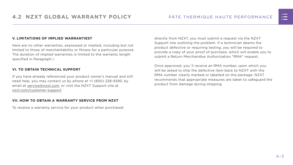#### **V. LIMITATIONS OF IMPLIED WARRANTIEST**

Here are no other warranties, expressed or implied, including but not limited to those of merchantability or fitness for a particular purpose. The duration of implied warranties is limited to the warranty length specified in Paragraph I.

#### **VI. TO OBTAIN TECHNICAL SUPPORT**

If you have already referenced your product owner's manual and still need help, you may contact us by phone at +1 (800) 228-9395, by email at [service@nzxt.com](mailto:service%40nzxt.com?subject=), or visit the NZXT Support site at [nzxt.com/customer-support.](http://nzxt.com/customer-support)

#### **VII. HOW TO OBTAIN A WARRANTY SERVICE FROM NZXT**

To receive a warranty service for your product when purchased

directly from NZXT, you must submit a request via the NZXT Support site outlining the problem. If a technician deems the product defective or requiring testing, you will be required to provide a copy of your proof of purchase, which will enable you to submit a Return Merchandise Authorization "RMA" request.

Once approved, you`ll receive an RMA number, upon which you will be asked to ship the defective item back to NZXT with the RMA number clearly marked or labelled on the package. NZXT recommends that appropriate measures are taken to safeguard the product from damage during shipping.

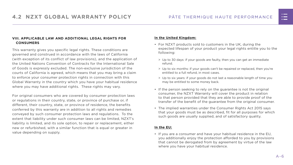#### **VIII. APPLICABLE LAW AND ADDITIONAL LEGAL RIGHTS FOR CONSUMERS**

This warranty gives you specific legal rights. These conditions are governed and construed in accordance with the laws of California (with exception of its conflict of law provisions), and the application of the United Nations Convention of Contracts for the International Sale of Goods is expressly excluded. The non-exclusive jurisdiction of the courts of California is agreed, which means that you may bring a claim to enforce your consumer protection rights in connection with this Global Warranty in the country which you have your habitual residence where you may have additional rights. These rights may vary.

For original consumers who are covered by consumer protection laws or regulations in their country, state, or province of purchase or, if different, their country, state, or province of residence, the benefits conferred by this warranty are in addition to all rights and remedies conveyed by such consumer protection laws and regulations. To the extent that liability under such consumer laws can be limited, NZXT's liability is limited, and its sole option, to repair or replacement, either new or refurbished, with a similar function that is equal or greater in value depending on supply.

#### **In the United Kingdom:**

- For NZXT products sold to customers in the UK, during the expected lifespan of your product your legal rights entitle you to the following:
	- > Up to 30 days: if your goods are faulty, then you can get an immediate refund.
	- > Up to six months: if your goods can't be repaired or replaced, then you're entitled to a full refund, in most cases.
	- > Up to six years: if your goods do not last a reasonable length of time you may be entitled to some money back.
- If the person seeking to rely on the guarantee is not the original consumer, the NZXT Warranty will cover the product in relation to that person provided that they are able to provide proof of the transfer of the benefit of the guarantee from the original consumer.
- The implied warranties under the Consumer Rights Act 2015 says that your goods must be as described, fit for all purposes for which such goods are usually supplied, and of satisfactory quality.

#### **In the EU:**

• If you are a consumer and have your habitual residence in the EU, you additionally enjoy the protection afforded to you by provisions that cannot be derogated from by agreement by virtue of the law where you have your habitual residence.

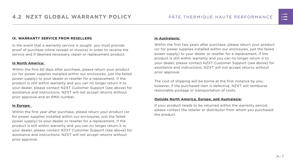#### **IX. WARRANTY SERVICE FROM RESELLERS**

In the event that a warranty service is sought, you must provide proof of purchase (store receipt or invoice) in order to receive the service and if deemed necessary, repair or replacement product.

#### **In North America:**

Within the first 60 days after purchase, please return your product (or for power supplies installed within our enclosures, just the failed power supply) to your dealer or reseller for a replacement. If the product is still within warranty and you can no longer return it to your dealer, please contact NZXT Customer Support (see above) for assistance and instructions. NZXT will not accept returns without prior approval and an RMA number.

#### **In Europe:**

Within the first year after purchase, please return your product (or for power supplies installed within our enclosures, just the failed power supply) to your dealer or reseller for a replacement. If the product is still within warranty and you can no longer return it to your dealer, please contact NZXT Customer Support (see above) for assistance and instructions. NZXT will not accept returns without prior approval.

#### **In Australasia:**

Within the first two years after purchase, please return your product (or for power supplies installed within our enclosures, just the failed power supply) to your dealer or reseller for a replacement. If the product is still within warranty and you can no longer return it to your dealer, please contact NZXT Customer Support (see above) for assistance and instructions. NZXT will not accept returns without prior approval.

The cost of shipping will be borne at the first instance by you; however, if the purchased item is defective, NZXT will reimburse reasonable postage or transportation of costs.

#### **Outside North America, Europe, and Australasia:**

If your product needs to be returned within the warranty period, please contact the retailer or distributor from whom you purchased the product.

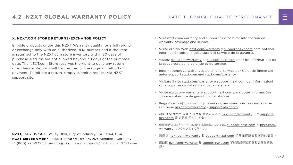#### PÂTE THERMIQUE HAUTE PERFORMANCE

#### **X. NZXT.COM STORE RETURNS/EXCHANGE POLICY**

Eligible products under this NZXT Warranty qualify for a full refund or exchange only with an authorized RMA number and if the item is returned to the NZXT.com store inventory within 30 days of purchase. Returns are not allowed beyond 30 days of the purchase date. The NZXT.com Store reserves the right to deny any return or exchange. Refunds will be credited to the original method of payment. To initiate a return, simply submit a request via NZXT support site.

- > Visit [nzxt.com/warranty](http://nzxt.com/warranty) and [support.nzxt.com](http://support.nzxt.com) for information on warranty coverage and service.
- > Visite el sitio Web [nzxt.com/warranty](http://nzxt.com/warranty) y [support.nzxt.com](http://support.nzxt.com) para obtener información sobre la cobertura y el servicio de la garantía.
- > Visitez [nzxt.com/warranty](http://nzxt.com/warranty) et [support.nzxt.com](http://support.nzxt.com) pour les informations de la couverture de la garantie et du service.
- > Informationen zu Geltungsbereich und Service der Garantie finden Sie unter [support.nzxt.com](http://support.nzxt.com) und [nzxt.com/warranty.](http://nzxt.com/warranty)
- > Visitare il sito [nzxt.com/warranty](http://nzxt.com/warranty) e [support.nzxt.com](http://support.nzxt.com) per informazioni sulla copertura e sul servizio della garanzia.
- > Visite [nzxt.com/warranty](http://nzxt.com/warranty) e [support.nzxt.com](http://support.nzxt.com) para obter informações sobre a cobertura da garantia e assistência.
- > Подробную информацию об условиях гарантийного обслуживания см. на веб-сайте [nzxt.com/warranty](http://nzxt.com/warranty) и [support.nzxt.com](http://support.nzxt.com).
- > 제품 보증 범위와 서비스 정보를 확인하시려면 [nzxt.com/warranty](http://nzxt.com/warranty) 또는 [support.](http://support.nzxt.com) [nzxt.com](http://support.nzxt.com) 을 방문해 주시기 바랍니다.
- > 保証範囲およびサービスに関する情報については、[support.nzxt.com](http://support.nzxt.com) と [nzxt.com/](http://nzxt.com/warranty) [warranty](http://nzxt.com/warranty) にアクセスしてください。
- > 请造访 nzxt.com/warranty 和 [support.nzxt.com](http://support.nzxt.com) 了解保修范围和服务的信息。
- > 請訪問 [nzxt.com/warranty](http://nzxt.com/warranty) 和 [support.nzxt.com](http://support.nzxt.com) 了解產品保固範圍和更多服務訊 息。



**NZXT, Inc./** 15736 E. Valley Blvd, City of Industry, CA 91744, USA **NZXT Europe GmbH/** Industriering Ost 66 | 47906 Kempen | Germany +1 (800) 228-9395 / service@nzxt.com / [support@nzxt.com](mailto:support%40nzxt.com?subject=) / NZX[T.com](http://nzxt.com)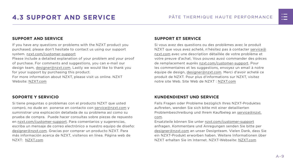

#### <span id="page-15-0"></span>**SUPPORT AND SERVICE**

If you have any questions or problems with the NZXT product you purchased, please don't hesitate to contact us using our support system. [nzxt.com/customer-support](http://nzxt.com/customer-support)

Please include a detailed explanation of your problem and your proof of purchase. For comments and suggestions, you can e-mail our design team, [designer@nzxt.com.](mailto:designer%40nzxt.com?subject=) Lastly we would like to thank you for your support by purchasing this product.

For more information about NZXT, please visit us online. NZXT Website: NZX[T.com](http://nzxt.com)

#### **SOPORTE Y SERVICIO**

Si tiene preguntas o problemas con el producto NZXT que usted compró, no dude en ponerse en contacto con [service@nzxt.com](mailto:service%40nzxt.com?subject=) y suministrar una explicación detallada de su problema así como su prueba de compra. Puede hacer consultas sobre piezas de repuesto en [nzxt.com/customer-support.](http://nzxt.com/customer-support) Para comentarios y sugerencias, escriba un mensaje de correo electrónico a nuestro equipo de diseño: [designer@nzxt.com.](mailto:designer%40nzxt.com?subject=) Gracias por comprar un producto NZXT. Para más información acerca de NZXT, visítenos en línea. Página web de NZXT: NZX[T.com](http://nzxt.com)

#### **SUPPORT ET SERVICE**

Si vous avez des questions ou des problèmes avec le produit NZXT que vous avez acheté, n'hésitez pas à contacter service@ nzxt.com avec une description détaillée de votre problème et votre preuve d'achat. Vous pouvez aussi commander des pièces de remplacement auprès [nzxt.com/customer-support.](http://nzxt.com/customer-support) Pour les commentaires et les suggestions, envoyez un email à notre équipe de design, [designer@nzxt.com.](mailto:designer%40nzxt.com?subject=) Merci d'avoir acheté ce produit de NZXT. Pour plus d'informations sur NZXT, visitez notre site Web. Site Web de NZXT : NZX[T.com](http://nzxt.com)

#### **KUNDENDIENST UND SERVICE**

Falls Fragen oder Probleme bezüglich Ihres NZXT-Produktes auftreten, wenden Sie sich bitte mit einer detaillierten Problembeschreibung und Ihrem Kaufbeleg an [service@nzxt.](mailto:service%40nzxt.com?subject=) [com](mailto:service%40nzxt.com?subject=).

Ersatzteile können Sie unter [nzxt.com/customer-support](http://nzxt.com/customer-support) anfragen. Kommentare und Anregungen senden Sie bitte per [designer@nzxt.com](mailto:designer%40nzxt.com?subject=) an unser Designteam. Vielen Dank, dass Sie ein NZXT-Produkt erworben haben. Weitere Informationen über NZXT erhalten Sie im Internet. NZXT-Webseite: NZX[T.com](http://nzxt.com)

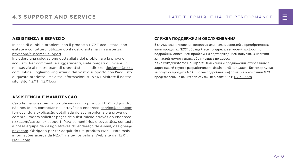#### **ASSISTENZA E SERVIZIO**

In caso di dubbi o problemi con il prodotto NZXT acquistato, non esitate a contattarci utilizzando il nostro sistema di assistenza. [nzxt.com/customer-support](http://nzxt.com/customer-support)

Includere una spiegazione dettagliata del problema e la prova di acquisto. Per commenti e suggerimenti, siete pregati di inviare un messaggio al nostro team di progettisti, all'indirizzo: [designer@nzxt.](mailto:designer%40nzxt.com?subject=) [com](mailto:designer%40nzxt.com?subject=). Infine, vogliamo ringraziarvi del vostro supporto con l'acquisto di questo prodotto. Per altre informazioni su NZXT, visitate il nostro sito. Sito NZXT: NZX[T.com](http://nzxt.com)

В случае возникновения вопросов или неисправностей в приобретенных вами продуктах NZXT обращайтесь по адресу: [service@nzxt.com](mailto:service%40nzxt.com?subject=) с подробным описанием проблемы и подтверждением покупки. О наличии запчастей можно узнать, обратившись по адресу: [nzxt.com/customer-support](http://nzxt.com/customer-support). Замечания и предложения отправляйте в адрес нашей группы разработчиков: [designer@nzxt.com](mailto:designer%40nzxt.com?subject=). Благодарим вас

### **ASSISTÊNCIA E MANUTENÇÃO**

Caso tenha questões ou problemas com o produto NZXT adquirido, não hesite em contactar-nos através do endereço [service@nzxt.com](mailto:service%40nzxt.com?subject=) fornecendo a explicação detalhada do seu problema e a prova de compra. Poderá solicitar peças de substituição através do endereço [nzxt.com/customer-support.](http://nzxt.com/customer-support) Para comentários e sugestões, contacte a nossa equipa de design através do endereço de e-mail, [designer@](mailto:designer%40nzxt.com?subject=) [nzxt.com.](mailto:designer%40nzxt.com?subject=) Obrigado por ter adquirido um produto NZXT. Para mais informações acerca da NZXT, visite-nos online. Web site da NZXT: NZX[T.com](http://nzxt.com)

#### **СЛУЖБА ПОДДЕРЖКИ И ОБСЛУЖИВАНИЯ**

за покупку продукта NZXT. Более подробная информация о компании NZXT представлена на наших веб-сайтах. Веб-сайт NZXT: NZX[T.com](http://nzxt.com)

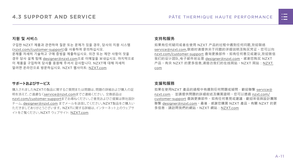

#### **지원 및 서비스**

구입한 NZXT 제품과 관련하여 질문 또는 문제가 있을 경우, 당사의 지원 시스템 ([nzxt.com/customer-support\)](http://nzxt.com/customer-support)을 사용하여 문의하십시오. 문제를 자세히 기술하고 구매 증빙을 제출하십시오. 의견 또는 제안 사항이 잇을 경우 당사 설계 팀에 [designer@nzxt.com](mailto:designer%40nzxt.com?subject=)으로 이메일을 보내십시오. 마지막으로 이 제품을 구입하여 당사를 응원해 주셔서 감사합니다. NZXT에 대해 자세히 알려면 온라인으로 방문하십시오. NZXT 웹사이트: NZX[T.com](http://nzxt.com)

#### **サポートおよびサービス**

購入されましたNZXTの製品に関するご質問または問題は、問題の詳細および購入の証 明を添えて、ご遠慮なく[service@nzxt.com](mailto:service%40nzxt.com?subject=)までご連絡ください。交換部品は [nzxt.com/customer-support](http://nzxt.com/customer-support)までお尋ねください。ご意見およびご提案は弊社設計 チーム、[designer@nzxt.com](mailto:designer%40nzxt.com?subject=) までメールを送信してください。NZXT製品をご購入い ただきましてありがとうございます。 NZXTに関する詳細は、インターネット上のウェブサ イトをご覧ください。NZXT ウェブサイト: NZX[T.com](http://nzxt.com)

#### **支持和服务**

如果有任何疑问或者在使用 NZXT 产品的过程中遇到任何问题,欢迎联络 [service@nzxt.com,](mailto:service%40nzxt.com?subject=)联络时请提供关于问题的详细说明及购买凭证。您可以向 [nzxt.com/customer-support](http://nzxt.com/customer-support) 查询更换部件。如有任何意见或建议,欢迎致信 我们的设计团队,电子邮件地址是 designer@nzxt.com。感谢您购买 NZXT 产品。有关 NZXT 的更多信息,请造访我们的在线网站。NZXT 网站:NZX[T.](http://nzxt.com) [com](http://nzxt.com)

#### **支援和服務**

如果在使用NZXT 產品的過程中有遇到任何問題或疑問,歡迎聯繫 [service@](mailto:service%40nzxt.com?subject=) [nzxt.com](mailto:service%40nzxt.com?subject=), 並請提供問題的詳細敘述及購買證明。您可以透過 [nzxt.com/](http://nzxt.com/customer-support) [customer-support](http://nzxt.com/customer-support) 查詢更換部件。如有任何意見或建議,歡迎來信與設計團隊 聯繫 designer@nzxt.com。最後,感謝您購買 NZXT 產品。有關 NZXT 的更 多信息,請訪問我們的網站。NZXT 網站: NZXT.com